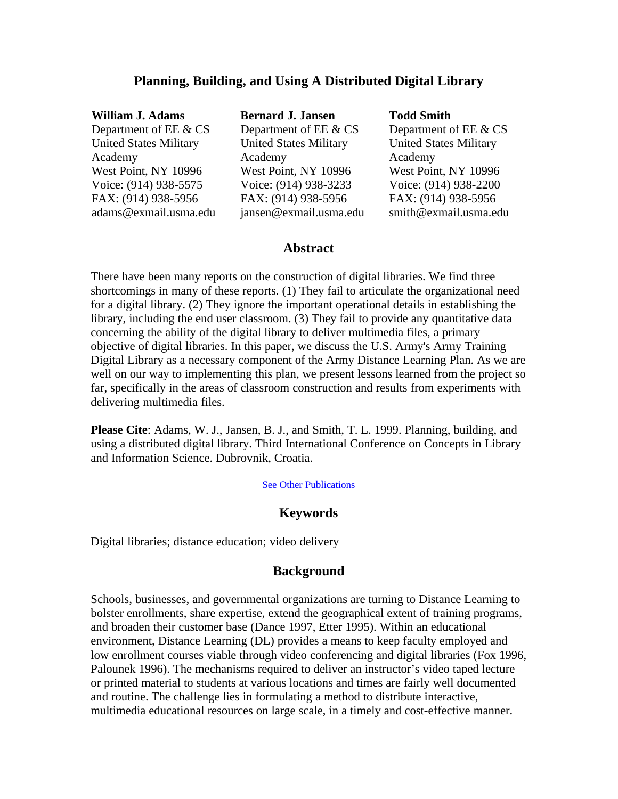## **Planning, Building, and Using A Distributed Digital Library**

| <b>William J. Adams</b>       | <b>Bernard J. Jansen</b>      | <b>Todd Smith</b>             |
|-------------------------------|-------------------------------|-------------------------------|
| Department of $EE \& CS$      | Department of EE & CS         | Department of EE & CS         |
| <b>United States Military</b> | <b>United States Military</b> | <b>United States Military</b> |
| Academy                       | Academy                       | Academy                       |
| West Point, NY 10996          | West Point, NY 10996          | West Point, NY 10996          |
| Voice: (914) 938-5575         | Voice: (914) 938-3233         | Voice: (914) 938-2200         |
| FAX: (914) 938-5956           | FAX: (914) 938-5956           | FAX: (914) 938-5956           |
| adams@exmail.usma.edu         | jansen@exmail.usma.edu        | smith@exmail.usma.edu         |
|                               |                               |                               |

#### **Abstract**

There have been many reports on the construction of digital libraries. We find three shortcomings in many of these reports. (1) They fail to articulate the organizational need for a digital library. (2) They ignore the important operational details in establishing the library, including the end user classroom. (3) They fail to provide any quantitative data concerning the ability of the digital library to deliver multimedia files, a primary objective of digital libraries. In this paper, we discuss the U.S. Army's Army Training Digital Library as a necessary component of the Army Distance Learning Plan. As we are well on our way to implementing this plan, we present lessons learned from the project so far, specifically in the areas of classroom construction and results from experiments with delivering multimedia files.

**Please Cite**: Adams, W. J., Jansen, B. J., and Smith, T. L. 1999. Planning, building, and using a distributed digital library. Third International Conference on Concepts in Library and Information Science. Dubrovnik, Croatia.

See Other Publications

### **Keywords**

Digital libraries; distance education; video delivery

#### **Background**

Schools, businesses, and governmental organizations are turning to Distance Learning to bolster enrollments, share expertise, extend the geographical extent of training programs, and broaden their customer base (Dance 1997, Etter 1995). Within an educational environment, Distance Learning (DL) provides a means to keep faculty employed and low enrollment courses viable through video conferencing and digital libraries (Fox 1996, Palounek 1996). The mechanisms required to deliver an instructor's video taped lecture or printed material to students at various locations and times are fairly well documented and routine. The challenge lies in formulating a method to distribute interactive, multimedia educational resources on large scale, in a timely and cost-effective manner.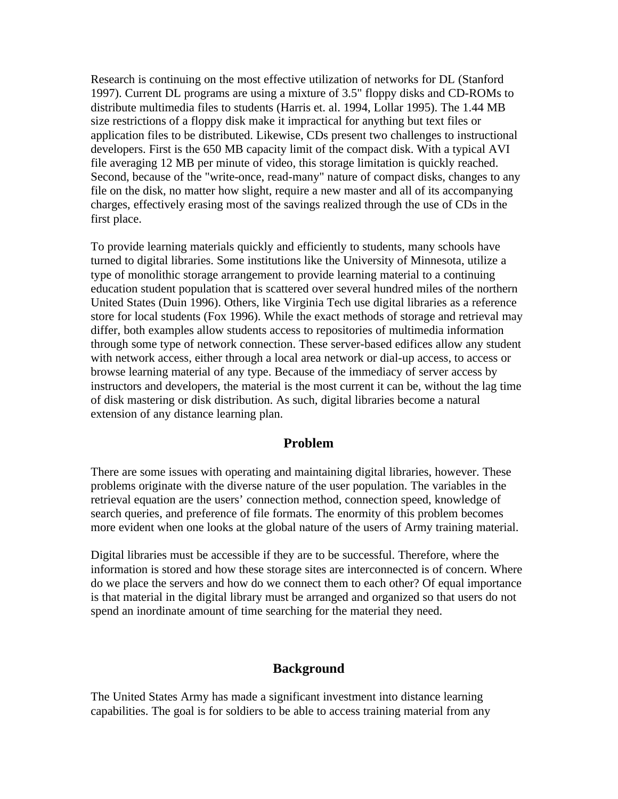Research is continuing on the most effective utilization of networks for DL (Stanford 1997). Current DL programs are using a mixture of 3.5" floppy disks and CD-ROMs to distribute multimedia files to students (Harris et. al. 1994, Lollar 1995). The 1.44 MB size restrictions of a floppy disk make it impractical for anything but text files or application files to be distributed. Likewise, CDs present two challenges to instructional developers. First is the 650 MB capacity limit of the compact disk. With a typical AVI file averaging 12 MB per minute of video, this storage limitation is quickly reached. Second, because of the "write-once, read-many" nature of compact disks, changes to any file on the disk, no matter how slight, require a new master and all of its accompanying charges, effectively erasing most of the savings realized through the use of CDs in the first place.

To provide learning materials quickly and efficiently to students, many schools have turned to digital libraries. Some institutions like the University of Minnesota, utilize a type of monolithic storage arrangement to provide learning material to a continuing education student population that is scattered over several hundred miles of the northern United States (Duin 1996). Others, like Virginia Tech use digital libraries as a reference store for local students (Fox 1996). While the exact methods of storage and retrieval may differ, both examples allow students access to repositories of multimedia information through some type of network connection. These server-based edifices allow any student with network access, either through a local area network or dial-up access, to access or browse learning material of any type. Because of the immediacy of server access by instructors and developers, the material is the most current it can be, without the lag time of disk mastering or disk distribution. As such, digital libraries become a natural extension of any distance learning plan.

## **Problem**

There are some issues with operating and maintaining digital libraries, however. These problems originate with the diverse nature of the user population. The variables in the retrieval equation are the users' connection method, connection speed, knowledge of search queries, and preference of file formats. The enormity of this problem becomes more evident when one looks at the global nature of the users of Army training material.

Digital libraries must be accessible if they are to be successful. Therefore, where the information is stored and how these storage sites are interconnected is of concern. Where do we place the servers and how do we connect them to each other? Of equal importance is that material in the digital library must be arranged and organized so that users do not spend an inordinate amount of time searching for the material they need.

#### **Background**

The United States Army has made a significant investment into distance learning capabilities. The goal is for soldiers to be able to access training material from any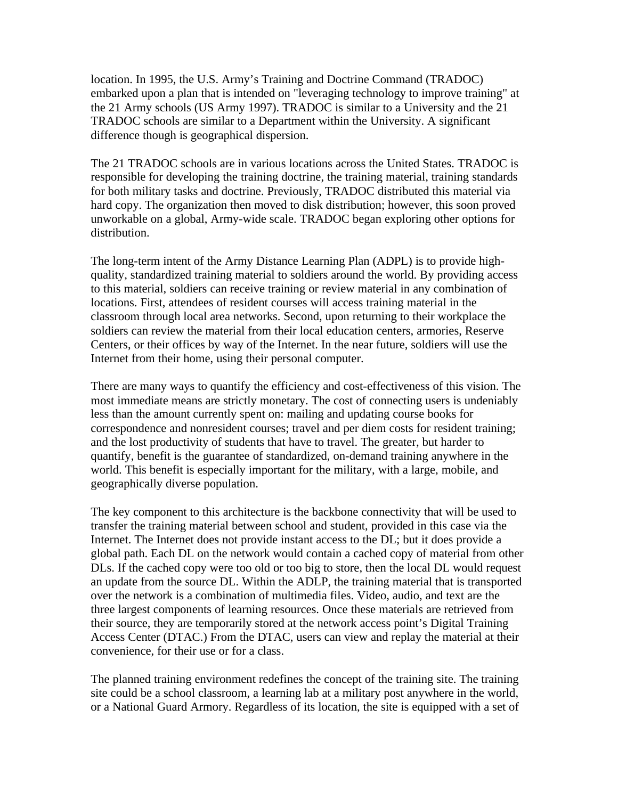location. In 1995, the U.S. Army's Training and Doctrine Command (TRADOC) embarked upon a plan that is intended on "leveraging technology to improve training" at the 21 Army schools (US Army 1997). TRADOC is similar to a University and the 21 TRADOC schools are similar to a Department within the University. A significant difference though is geographical dispersion.

The 21 TRADOC schools are in various locations across the United States. TRADOC is responsible for developing the training doctrine, the training material, training standards for both military tasks and doctrine. Previously, TRADOC distributed this material via hard copy. The organization then moved to disk distribution; however, this soon proved unworkable on a global, Army-wide scale. TRADOC began exploring other options for distribution.

The long-term intent of the Army Distance Learning Plan (ADPL) is to provide highquality, standardized training material to soldiers around the world. By providing access to this material, soldiers can receive training or review material in any combination of locations. First, attendees of resident courses will access training material in the classroom through local area networks. Second, upon returning to their workplace the soldiers can review the material from their local education centers, armories, Reserve Centers, or their offices by way of the Internet. In the near future, soldiers will use the Internet from their home, using their personal computer.

There are many ways to quantify the efficiency and cost-effectiveness of this vision. The most immediate means are strictly monetary. The cost of connecting users is undeniably less than the amount currently spent on: mailing and updating course books for correspondence and nonresident courses; travel and per diem costs for resident training; and the lost productivity of students that have to travel. The greater, but harder to quantify, benefit is the guarantee of standardized, on-demand training anywhere in the world. This benefit is especially important for the military, with a large, mobile, and geographically diverse population.

The key component to this architecture is the backbone connectivity that will be used to transfer the training material between school and student, provided in this case via the Internet. The Internet does not provide instant access to the DL; but it does provide a global path. Each DL on the network would contain a cached copy of material from other DLs. If the cached copy were too old or too big to store, then the local DL would request an update from the source DL. Within the ADLP, the training material that is transported over the network is a combination of multimedia files. Video, audio, and text are the three largest components of learning resources. Once these materials are retrieved from their source, they are temporarily stored at the network access point's Digital Training Access Center (DTAC.) From the DTAC, users can view and replay the material at their convenience, for their use or for a class.

The planned training environment redefines the concept of the training site. The training site could be a school classroom, a learning lab at a military post anywhere in the world, or a National Guard Armory. Regardless of its location, the site is equipped with a set of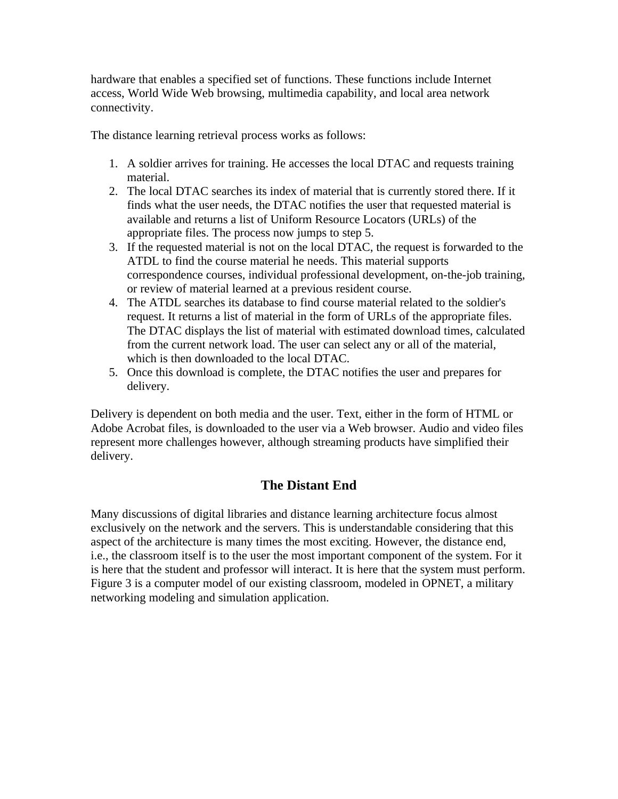hardware that enables a specified set of functions. These functions include Internet access, World Wide Web browsing, multimedia capability, and local area network connectivity.

The distance learning retrieval process works as follows:

- 1. A soldier arrives for training. He accesses the local DTAC and requests training material.
- 2. The local DTAC searches its index of material that is currently stored there. If it finds what the user needs, the DTAC notifies the user that requested material is available and returns a list of Uniform Resource Locators (URLs) of the appropriate files. The process now jumps to step 5.
- 3. If the requested material is not on the local DTAC, the request is forwarded to the ATDL to find the course material he needs. This material supports correspondence courses, individual professional development, on-the-job training, or review of material learned at a previous resident course.
- 4. The ATDL searches its database to find course material related to the soldier's request. It returns a list of material in the form of URLs of the appropriate files. The DTAC displays the list of material with estimated download times, calculated from the current network load. The user can select any or all of the material, which is then downloaded to the local DTAC.
- 5. Once this download is complete, the DTAC notifies the user and prepares for delivery.

Delivery is dependent on both media and the user. Text, either in the form of HTML or Adobe Acrobat files, is downloaded to the user via a Web browser. Audio and video files represent more challenges however, although streaming products have simplified their delivery.

# **The Distant End**

Many discussions of digital libraries and distance learning architecture focus almost exclusively on the network and the servers. This is understandable considering that this aspect of the architecture is many times the most exciting. However, the distance end, i.e., the classroom itself is to the user the most important component of the system. For it is here that the student and professor will interact. It is here that the system must perform. Figure 3 is a computer model of our existing classroom, modeled in OPNET, a military networking modeling and simulation application.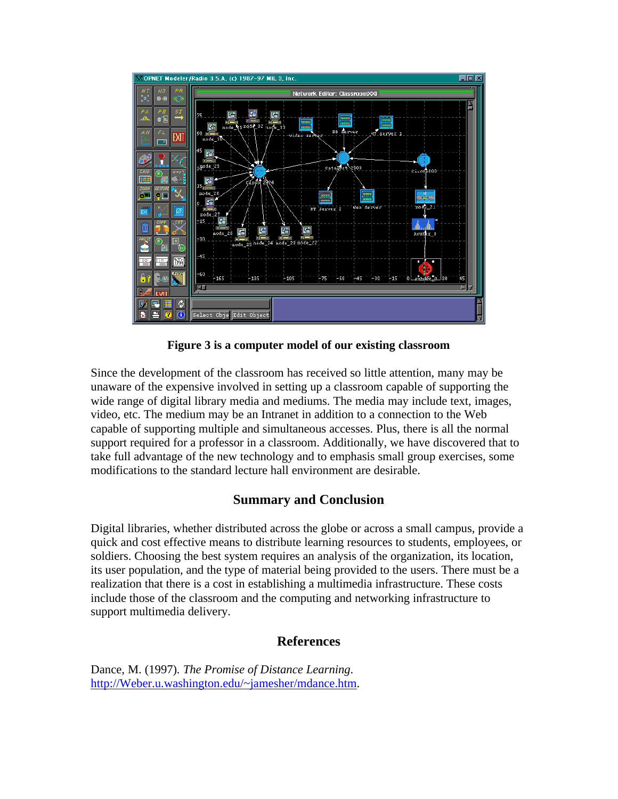

**Figure 3 is a computer model of our existing classroom**

Since the development of the classroom has received so little attention, many may be unaware of the expensive involved in setting up a classroom capable of supporting the wide range of digital library media and mediums. The media may include text, images, video, etc. The medium may be an Intranet in addition to a connection to the Web capable of supporting multiple and simultaneous accesses. Plus, there is all the normal support required for a professor in a classroom. Additionally, we have discovered that to take full advantage of the new technology and to emphasis small group exercises, some modifications to the standard lecture hall environment are desirable.

## **Summary and Conclusion**

Digital libraries, whether distributed across the globe or across a small campus, provide a quick and cost effective means to distribute learning resources to students, employees, or soldiers. Choosing the best system requires an analysis of the organization, its location, its user population, and the type of material being provided to the users. There must be a realization that there is a cost in establishing a multimedia infrastructure. These costs include those of the classroom and the computing and networking infrastructure to support multimedia delivery.

## **References**

Dance, M. (1997)*. The Promise of Distance Learning*. http://Weber.u.washington.edu/~jamesher/mdance.htm.